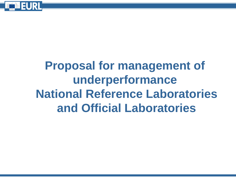

# **Proposal for management of underperformance National Reference Laboratories and Official Laboratories**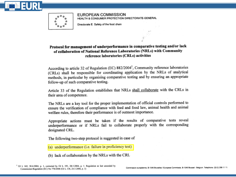

EUROPEAN COMMISSION HEALTH & CONSUMER PROTECTION DIRECTORATE-GENERAL

Directorate E: Safety of the food chain

#### Protocol for management of underperformance in comparative testing and/or lack of collaboration of National Reference Laboratories (NRLs) with Community reference laboratories (CRLs) activities

According to article 32 of Regulation (EC) 882/2004<sup>1</sup>, Community reference laboratories (CRLs) shall be responsible for coordinating application by the NRLs of analytical methods, in particular by organising comparative testing and by ensuring an appropriate follow-up of such comparative testing.

Article 33 of the Regulation establishes that NRLs shall collaborate with the CRLs in their area of competence.

The NRLs are a key tool for the proper implementation of official controls performed to ensure the verification of compliance with feed and food law, animal health and animal welfare rules, therefore their performance is of outmost importance.

Appropriate actions must be taken if the results of comparative tests reveal underperformance or if NRLs fail to collaborate properly with the corresponding designated CRL.

The following two-step protocol is suggested in case of

(a) underperformance (i.e. failure in proficiency test)

(b) lack of collaboration by the NRLs with the CRL

<sup>1</sup> OJ L 165, 30.4.2004, p. 1, corrected by OJ L 191, 28.5.2004, p. 1. Regulation as last amended by Commission Regulation (EC) No 776/2006 (OJ L 136, 24.5.2006, p. 3)

Commission européenne, B-1049 Bruxelles / Europese Commissie, B-1049 Brussel - Belgium. Telephone: (32-2) 299 11 11.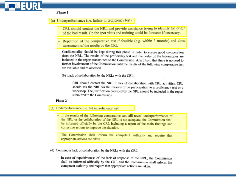### Phase 1

(a) Underperformance (i.e. failure in proficiency test)

- CRL should contact the NRL and provide assistance trying to identify the origin of the bad result. On the spot visits and training could be foreseen if necessary.
- Repetition of the comparative test if feasible (e.g. within 3 months) and close assessment of the results by the CRL

Confidentiality should be kept during this phase in order to ensure good co-operation from the NRL. The results of the proficiency test and the codes of the laboratories are included in the report transmitted to the Commission. Apart from that there is no need to further involvement of the Commission until the results of the following comparative test are available and re-assessed.

- (b) Lack of collaboration by the NRLs with the CRL:
	- CRL should contact the NRL if lack of collaboration with CRL activities. CRL should ask the NRL for the reasons of no participation to a proficiency test or a workshop. The justification provided by the NRL should be included in the report submitted to the Commission

#### Phase 2

(c) Underperformance (i.e. fail in proficiency test)

- If the results of the following comparative test still reveal underperformance of the NRL or the collaboration of the NRL is not adequate, the Commission shall be informed officially by the CRL including a report of the main findings and corrective actions to improve the situation.

- The Commission shall inform the competent authority and require that appropriate actions are taken.

(d) Continuous lack of collaboration by the NRLs with the CRL:

- In case of repetitiveness of the lack of response of the NRL, the Commission shall be informed officially by the CRL and the Commission shall inform the competent authority and require that appropriate actions are taken.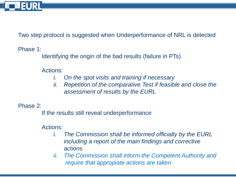

Two step protocol is suggested when Underperformance of NRL is detected

Phase 1:

Identifying the origin of the bad results (failure in PTs)

Actions:

- *i. On the spot visits and training if necessary*
- *ii. Repetition of the comparative Test if feasible and close the assessment of results by the EURL*

Phase 2:

If the results still reveal underperformance

Actions:

- *i. The Commission shall be informed officially by the EURL including a report of the main findings and corrective actions*
- *ii. The Commission shall inform the Competent Authority and require that appropiate actions are taken*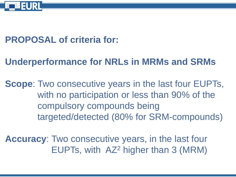

### **PROPOSAL of criteria for:**

# **Underperformance for NRLs in MRMs and SRMs**

**Scope**: Two consecutive years in the last four EUPTs, with no participation or less than 90% of the compulsory compounds being targeted/detected (80% for SRM-compounds)

**Accuracy**: Two consecutive years, in the last four EUPTs, with AZ<sup>2</sup> higher than 3 (MRM)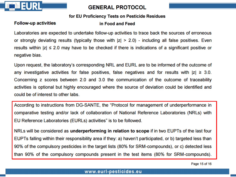

### **GENERAL PROTOCOL**

#### for EU Proficiency Tests on Pesticide Residues

#### **Follow-up activities**

#### in Food and Feed

Laboratories are expected to undertake follow-up activities to trace back the sources of erroneous or strongly deviating results (typically those with  $|z| > 2.0$ ) - including all false positives. Even results within  $|z| \le 2.0$  may have to be checked if there is indications of a significant positive or negative bias.

Upon request, the laboratory's corresponding NRL and EURL are to be informed of the outcome of any investigative activities for false positives, false negatives and for results with  $|z| \geq 3.0$ . Concerning z scores between 2.0 and 3.0 the communication of the outcome of traceability activities is optional but highly encouraged where the source of deviation could be identified and could be of interest to other labs.

According to instructions from DG-SANTE, the "Protocol for management of underperformance in comparative testing and/or lack of collaboration of National Reference Laboratories (NRLs) with EU Reference Laboratories (EURLs) activities" is to be followed.

NRLs will be considered as underperforming in relation to scope if in two EUPTs of the last four EUPTs falling within their responsibility area if they: a) haven't participated, or b) targeted less than 90% of the compulsory pesticides in the target lists (80% for SRM-compounds), or c) detected less than 90% of the compulsory compounds present in the test items (80% for SRM-compounds).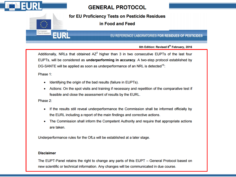

### **GENERAL PROTOCOL**

for EU Proficiency Tests on Pesticide Residues

in Food and Feed

EU REFERENCE LABORATORIES FOR RESIDUES OF PESTICIDES

#### 6th Edition: Revised 8th February, 2016

Additionally, NRLs that obtained  $AZ^2$  higher than 3 in two consecutive EUPTs of the last four EUPTs, will be considered as **underperforming in accuracy**. A two-step protocol established by DG-SANTE will be applied as soon as underperformance of an NRL is detected<sup>15</sup>:

Phase 1:

Commission

EURL

- Identifying the origin of the bad results (failure in EUPTs).
- Actions: On the spot visits and training if necessary and repetition of the comparative test if feasible and close the assessment of results by the EURL.

Phase 2:

- If the results still reveal underperformance the Commission shall be informed officially by the EURL including a report of the main findings and corrective actions.
- The Commission shall inform the Competent Authority and require that appropriate actions are taken.

Underperformance rules for the OfLs will be established at a later stage.

#### **Disclaimer**

The EUPT-Panel retains the right to change any parts of this EUPT – General Protocol based on new scientific or technical information. Any changes will be communicated in due course.